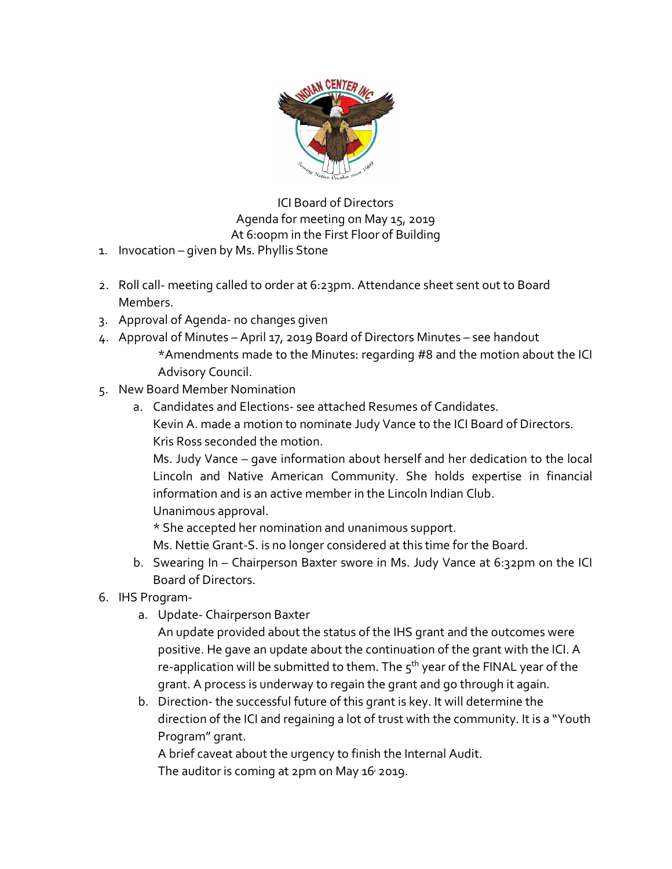

ICI Board of Directors Agenda for meeting on May 15, 2019 At 6:00pm in the First Floor of Building

- 1. Invocation given by Ms. Phyllis Stone
- 2. Roll call- meeting called to order at 6:23pm. Attendance sheet sent out to Board Members.
- 3. Approval of Agenda- no changes given
- 4. Approval of Minutes April 17, 2019 Board of Directors Minutes see handout \*Amendments made to the Minutes: regarding #8 and the motion about the ICI Advisory Council.
- 5. New Board Member Nomination
	- a. Candidates and Elections- see attached Resumes of Candidates. Kevin A. made a motion to nominate Judy Vance to the ICI Board of Directors. Kris Ross seconded the motion.

Ms. Judy Vance – gave information about herself and her dedication to the local Lincoln and Native American Community. She holds expertise in financial information and is an active member in the Lincoln Indian Club. Unanimous approval.

\* She accepted her nomination and unanimous support.

Ms. Nettie Grant-S. is no longer considered at this time for the Board.

- b. Swearing In Chairperson Baxter swore in Ms. Judy Vance at 6:32pm on the ICI Board of Directors.
- 6. IHS Program
	- a. Update- Chairperson Baxter

An update provided about the status of the IHS grant and the outcomes were positive. He gave an update about the continuation of the grant with the ICI. A re-application will be submitted to them. The  $5<sup>th</sup>$  year of the FINAL year of the grant. A process is underway to regain the grant and go through it again.

b. Direction- the successful future of this grant is key. It will determine the direction of the ICI and regaining a lot of trust with the community. It is a "Youth Program" grant.

A brief caveat about the urgency to finish the Internal Audit. The auditor is coming at 2pm on May 16<sup>,</sup> 2019.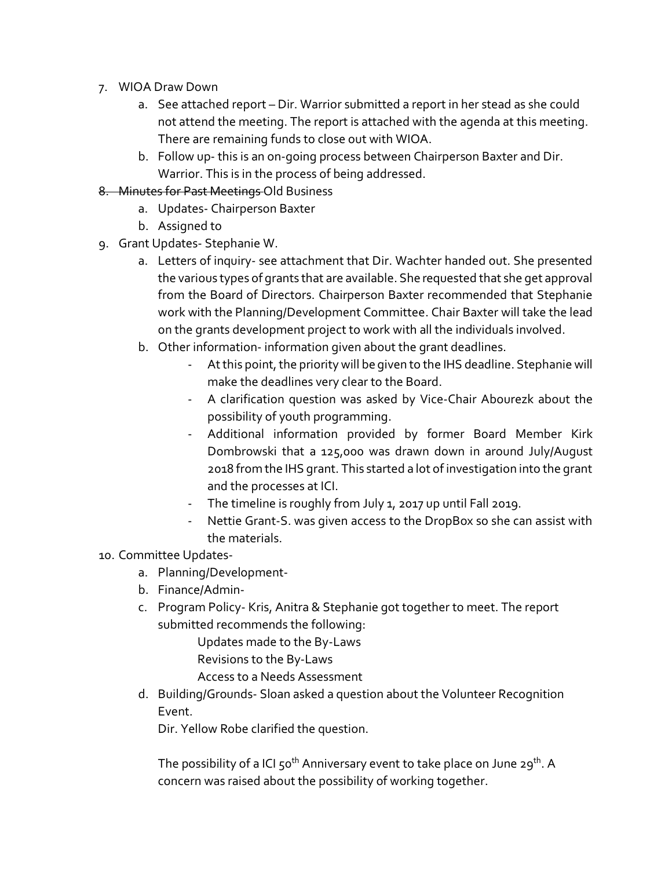- 7. WIOA Draw Down
	- a. See attached report Dir. Warrior submitted a report in her stead as she could not attend the meeting. The report is attached with the agenda at this meeting. There are remaining funds to close out with WIOA.
	- b. Follow up- this is an on-going process between Chairperson Baxter and Dir. Warrior. This is in the process of being addressed.
- 8. Minutes for Past Meetings Old Business
	- a. Updates- Chairperson Baxter
	- b. Assigned to
- 9. Grant Updates- Stephanie W.
	- a. Letters of inquiry- see attachment that Dir. Wachter handed out. She presented the various types of grants that are available. She requested that she get approval from the Board of Directors. Chairperson Baxter recommended that Stephanie work with the Planning/Development Committee. Chair Baxter will take the lead on the grants development project to work with all the individuals involved.
	- b. Other information- information given about the grant deadlines.
		- At this point, the priority will be given to the IHS deadline. Stephanie will make the deadlines very clear to the Board.
		- A clarification question was asked by Vice-Chair Abourezk about the possibility of youth programming.
		- Additional information provided by former Board Member Kirk Dombrowski that a 125,000 was drawn down in around July/August 2018 from the IHS grant. This started a lot of investigation into the grant and the processes at ICI.
		- The timeline is roughly from July 1, 2017 up until Fall 2019.
		- Nettie Grant-S. was given access to the DropBox so she can assist with the materials.

## 10. Committee Updates-

- a. Planning/Development-
- b. Finance/Admin-
- c. Program Policy- Kris, Anitra & Stephanie got together to meet. The report submitted recommends the following:

Updates made to the By-Laws

Revisions to the By-Laws

- Access to a Needs Assessment
- d. Building/Grounds- Sloan asked a question about the Volunteer Recognition Event.

Dir. Yellow Robe clarified the question.

The possibility of a ICI  $50^{th}$  Anniversary event to take place on June 29<sup>th</sup>. A concern was raised about the possibility of working together.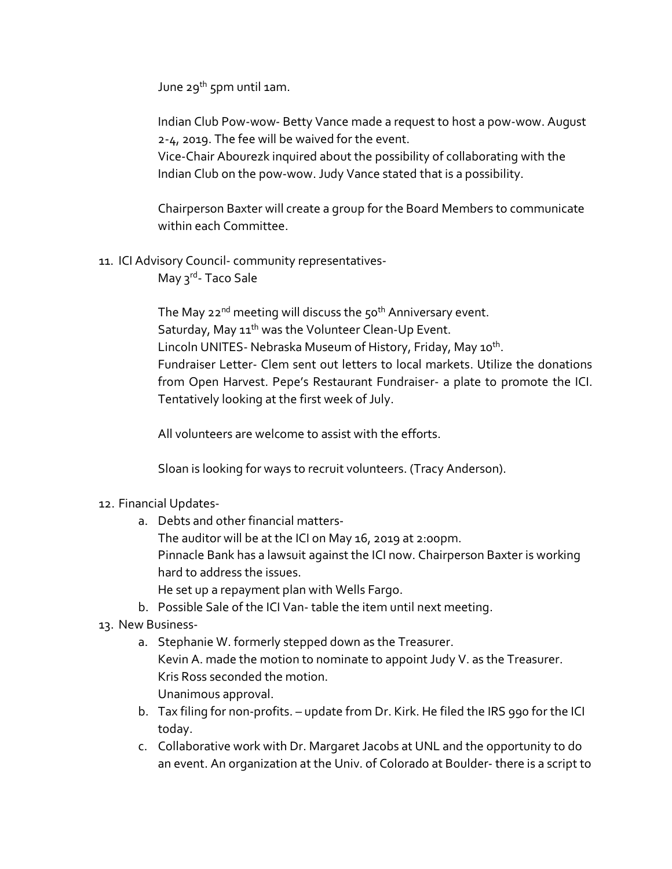June 29<sup>th</sup> 5pm until 1am.

Indian Club Pow-wow- Betty Vance made a request to host a pow-wow. August 2-4, 2019. The fee will be waived for the event.

Vice-Chair Abourezk inquired about the possibility of collaborating with the Indian Club on the pow-wow. Judy Vance stated that is a possibility.

Chairperson Baxter will create a group for the Board Members to communicate within each Committee.

11. ICI Advisory Council- community representatives-

May 3<sup>rd</sup>- Taco Sale

The May 22<sup>nd</sup> meeting will discuss the 50<sup>th</sup> Anniversary event. Saturday, May 11<sup>th</sup> was the Volunteer Clean-Up Event. Lincoln UNITES- Nebraska Museum of History, Friday, May 10<sup>th</sup>. Fundraiser Letter- Clem sent out letters to local markets. Utilize the donations from Open Harvest. Pepe's Restaurant Fundraiser- a plate to promote the ICI. Tentatively looking at the first week of July.

All volunteers are welcome to assist with the efforts.

Sloan is looking for ways to recruit volunteers. (Tracy Anderson).

- 12. Financial Updates
	- a. Debts and other financial matters-

The auditor will be at the ICI on May 16, 2019 at 2:00pm.

Pinnacle Bank has a lawsuit against the ICI now. Chairperson Baxter is working hard to address the issues.

He set up a repayment plan with Wells Fargo.

- b. Possible Sale of the ICI Van- table the item until next meeting.
- 13. New Business
	- a. Stephanie W. formerly stepped down as the Treasurer. Kevin A. made the motion to nominate to appoint Judy V. as the Treasurer. Kris Ross seconded the motion. Unanimous approval.
	- b. Tax filing for non-profits. update from Dr. Kirk. He filed the IRS 990 for the ICI today.
	- c. Collaborative work with Dr. Margaret Jacobs at UNL and the opportunity to do an event. An organization at the Univ. of Colorado at Boulder- there is a script to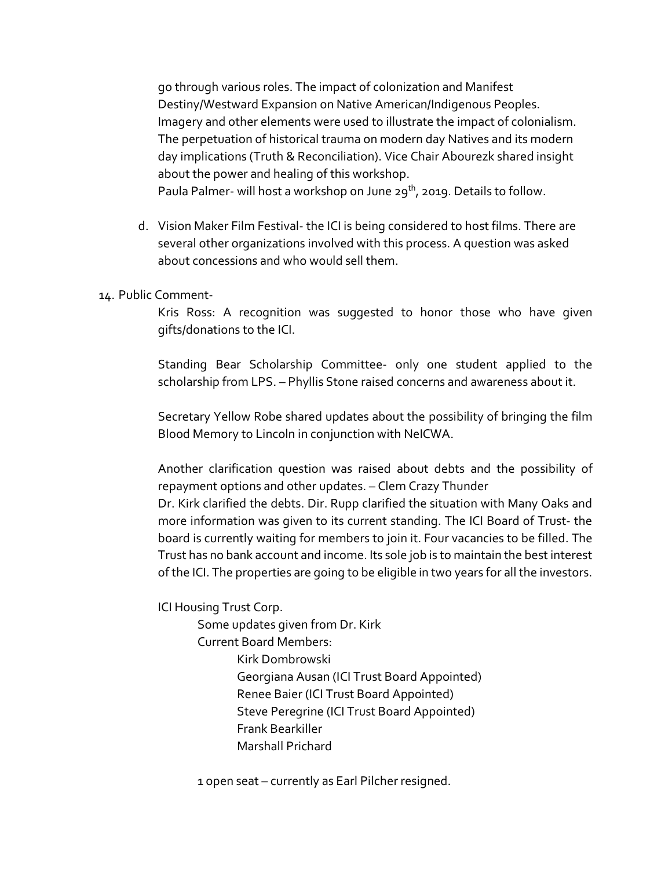go through various roles. The impact of colonization and Manifest Destiny/Westward Expansion on Native American/Indigenous Peoples. Imagery and other elements were used to illustrate the impact of colonialism. The perpetuation of historical trauma on modern day Natives and its modern day implications (Truth & Reconciliation). Vice Chair Abourezk shared insight about the power and healing of this workshop. Paula Palmer- will host a workshop on June 29<sup>th</sup>, 2019. Details to follow.

- d. Vision Maker Film Festival- the ICI is being considered to host films. There are several other organizations involved with this process. A question was asked about concessions and who would sell them.
- 14. Public Comment-

Kris Ross: A recognition was suggested to honor those who have given gifts/donations to the ICI.

Standing Bear Scholarship Committee- only one student applied to the scholarship from LPS. – Phyllis Stone raised concerns and awareness about it.

Secretary Yellow Robe shared updates about the possibility of bringing the film Blood Memory to Lincoln in conjunction with NeICWA.

Another clarification question was raised about debts and the possibility of repayment options and other updates. – Clem Crazy Thunder

Dr. Kirk clarified the debts. Dir. Rupp clarified the situation with Many Oaks and more information was given to its current standing. The ICI Board of Trust- the board is currently waiting for members to join it. Four vacancies to be filled. The Trust has no bank account and income. Its sole job is to maintain the best interest of the ICI. The properties are going to be eligible in two years for all the investors.

ICI Housing Trust Corp.

Some updates given from Dr. Kirk Current Board Members: Kirk Dombrowski Georgiana Ausan (ICI Trust Board Appointed) Renee Baier (ICI Trust Board Appointed) Steve Peregrine (ICI Trust Board Appointed) Frank Bearkiller Marshall Prichard

1 open seat – currently as Earl Pilcher resigned.